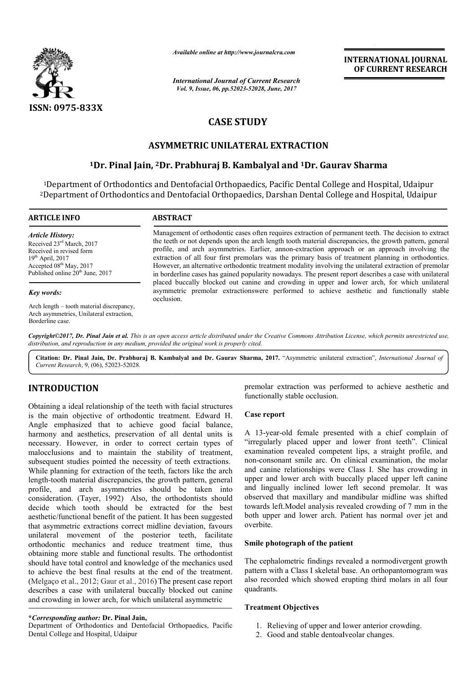

*Available online at http://www.journalcra.com*

*International Journal of Current Research Vol. 9, Issue, 06, pp.52023-52028, June, 2017*

**INTERNATIONAL JOURNAL OF CURRENT RESEARCH** 

# **CASE STUDY**

# **ASYMMETRIC UNILATERAL EXTRACTION**

# **1Dr. Pinal Jain, 2Dr. Prabhuraj B. Kambalyal Dr. and 1Dr. Gaurav Sharma Dr. Gaurav Sharma**

<sup>1</sup>Department of Orthodontics and Dentofacial Orthopaedics, Pacific Dental College and Hospital, Udaipur<br>Department of Orthodontics and Dentofacial Orthopaedics, Darshan Dental College and Hospital, Udaipur <sup>2</sup>Department of Orthodontics and Dentofacial Orthopaedics, Darshan Dental College and Hospital, Udaipur

#### **ARTICLE INFO ABSTRACT**

*Article History:* Received 23rd March, 2017 Received in revised form 19th April, 2017 Accepted 08<sup>th</sup> May, 2017 Published online 20<sup>th</sup> June, 2017

#### *Key words:*

Arch length – tooth material discrepancy, Arch asymmetries, Unilateral extraction, Borderline case.

Management of orthodontic cases often requires extraction of permanent teeth. The decision to extract the teeth or not depends upon the arch length tooth material discrepancies, the growth pattern, general profile, and arch asymmetries. Earlier, annon-extraction approach or an approach involving the extraction of all four first premolars was the primary basis of treatment planning in orthodontics. However, an alternative orthodontic treatment modality involving the unilateral extraction of premolar in borderline cases has gained popularity nowadays. The present report describes a case with unilateral placed buccally blocked out canine and crowding in upper and lower arch, for which unilateral asymmetric premolar extractionswere performed to achieve aesthetic and functionally stable occlusion. the teeth or not depends upon the arch length tooth material discrepancies, the growth pattern, general profile, and arch asymmetries. Earlier, annon-extraction approach or an approach involving the extraction of all four However, an alternative orthodontic treatment modality involving the unilateral extraction borderline cases has gained popularity nowadays. The present report describes a case placed buccally blocked out canine and crowdin

*Copyright©2017, Dr. Pinal Jain et al. This is an open access article distributed under the Creative Commons Attribution License, which ribution permits unrestricted use, distribution, and reproduction in any medium, provided the original work is properly cited.*

Citation: Dr. Pinal Jain, Dr. Prabhuraj B. Kambalyal and Dr. Gaurav Sharma, 2017. "Asymmetric unilateral extraction", *International Journal of Current Research*, 9, (06), 52023-52028.

# **INTRODUCTION**

Obtaining a ideal relationship of the teeth with facial structures is the main objective of orthodontic treatment. Edward H. Angle emphasized that to achieve good facial balance, harmony and aesthetics, preservation of all dental units is necessary. However, in order to correct certain types of malocclusions and to maintain the stability of treatment, subsequent studies pointed the necessity of teeth extractions. While planning for extraction of the teeth, factors like the arch length-tooth material discrepancies, the growth pattern, general profile, and arch asymmetries should be taken into consideration. (Tayer, 1992) Also, the orthodontists should decide which tooth should be extracted for the best aesthetic/functional benefit of the patient. It has been suggested that asymmetric extractions correct midline deviation, favours unilateral movement of the posterior teeth, facilitate orthodontic mechanics and reduce treatment time, thus obtaining more stable and functional results. The orthodontist should have total control and knowledge of the mechanics used to achieve the best final results at the end of the treatment. (Melgaço et al., 2012; Gaur et al., 2016) The present case report describes a case with unilateral buccally blocked out canine and crowding in lower arch, for which unilateral asymmetric r, in order to correct certain types o<br>to maintain the stability of treatment<br>pointed the necessity of teeth extractions.

## **\****Corresponding author:* **Dr. Pinal Jain,**

Department of Orthodontics and Dentofacial Orthopaedics, Pacific Dental College and Hospital, Udaipur

premolar extraction was performed to achieve aesthetic and functionally stable occlusion.

## **Case report**

A 13-year-old female presented with a chief complain of "irregularly placed upper and lower front teeth". Clinical examination revealed competent lips, a straight profile, and non-consonant smile arc. On clinical examination, the molar and canine relationships were Class I. She has crowding in upper and lower arch with buccally placed upper left canine and lingually inclined lower left second premolar. It was observed that maxillary and mandibular midli towards left.Model analysis revealed crowding of 7 mm in the both upper and lower arch. Patient has normal over jet and overbite. 3-year-old female presented with a chief complain of gularly placed upper and lower front teeth". Clinical ination revealed competent lips, a straight profile, and consonant smile arc. On clinical examination, the molar ca INTERNATIONAL JOURNAL<br>
THE RESEARCH<br>
THE RESEARCH<br>
THE ALS June 2017<br>
THE LEXTRACTION<br>
ILLEXTRACTION<br>
ILLEXTRACTION<br>
ILLEXTRACTION<br>
ILLEXTRACTION<br>
ILLEXTRACTION<br>
ILLEXTRACTION<br>
ILLEXTRACTION<br>
ILLEXTRACTION<br>
ILLEXTRACTION<br>

## **Smile photograph of the patient**

The cephalometric findings revealed a normodivergent growth pattern with a Class I skeletal base. An orthopantomogram was also recorded which showed erupting third molars in all four quadrants.

#### **Treatment Objectives**

- 1. Relieving of upper and lower anterior crowding.
- 2. Good and stable dentoalveolar changes.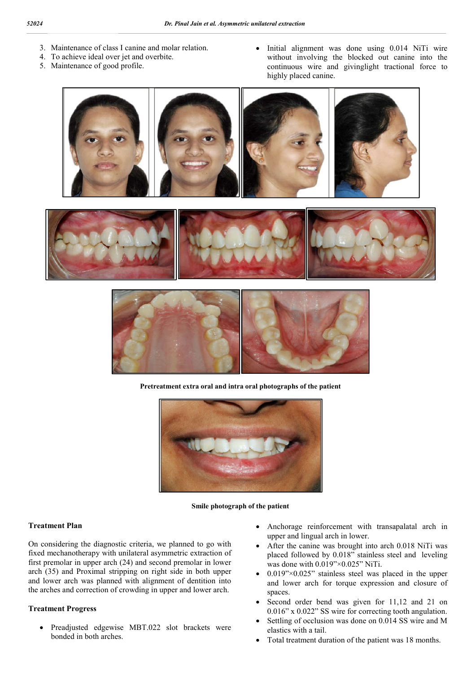- 3. Maintenance of class I canine and molar relation.
- 4. To achieve ideal over jet and overbite.
- 5. Maintenance of good profile.

• Initial alignment was done using 0.014 NiTi wire without involving the blocked out canine into the continuous wire and givinglight tractional force to highly placed canine.







**Pretreatment extra oral and intra oral photographs of the patient**



#### **Smile photograph of the patient**

#### **Treatment Plan**

On considering the diagnostic criteria, we planned to go with fixed mechanotherapy with unilateral asymmetric extraction of first premolar in upper arch (24) and second premolar in lower arch (35) and Proximal stripping on right side in both upper and lower arch was planned with alignment of dentition into the arches and correction of crowding in upper and lower arch.

## **Treatment Progress**

 Preadjusted edgewise MBT.022 slot brackets were bonded in both arches.

- Anchorage reinforcement with transapalatal arch in upper and lingual arch in lower.
- After the canine was brought into arch 0.018 NiTi was placed followed by 0.018" stainless steel and leveling was done with 0.019"×0.025" NiTi.
- $\bullet$  0.019" $\times$ 0.025" stainless steel was placed in the upper and lower arch for torque expression and closure of spaces.
- Second order bend was given for 11,12 and 21 on 0.016" x 0.022" SS wire for correcting tooth angulation.
- Settling of occlusion was done on 0.014 SS wire and M elastics with a tail.
- Total treatment duration of the patient was 18 months.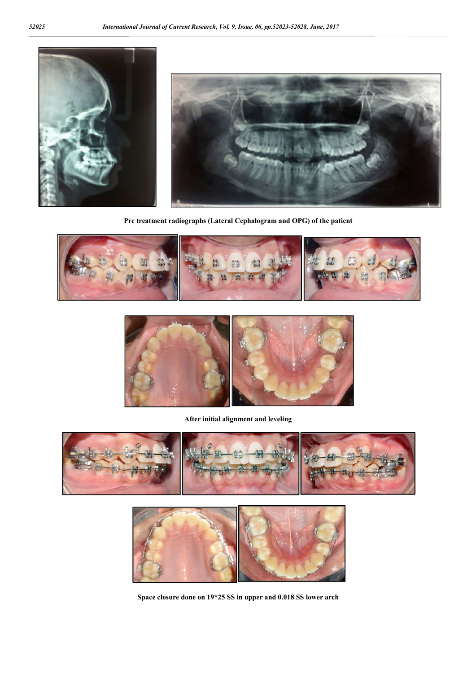

**Pre treatment radiographs (Lateral Cephalogram and OPG) of the patient** 





**After initial alignment and leveling**





**Space closure done on 19\*25 SS in upper and 0.018 SS lower arch**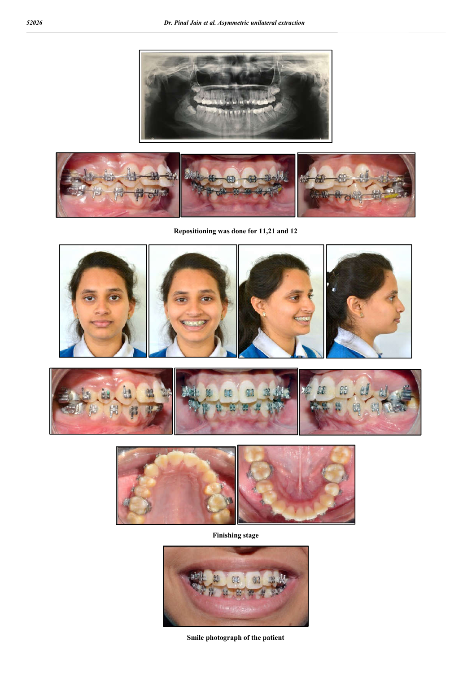



**Repositioning was done for 11,21 and 12**







**Finishing stage**



**Smile photograph of the patient**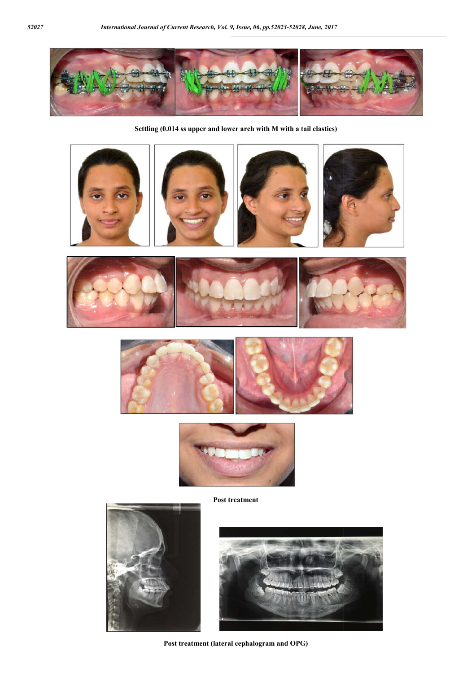

**Settling (0.014 ss upper and lower arch with M with a tail elastics)**

















**Post treatment**



**Post treatment (lateral cephalogram and OPG)**